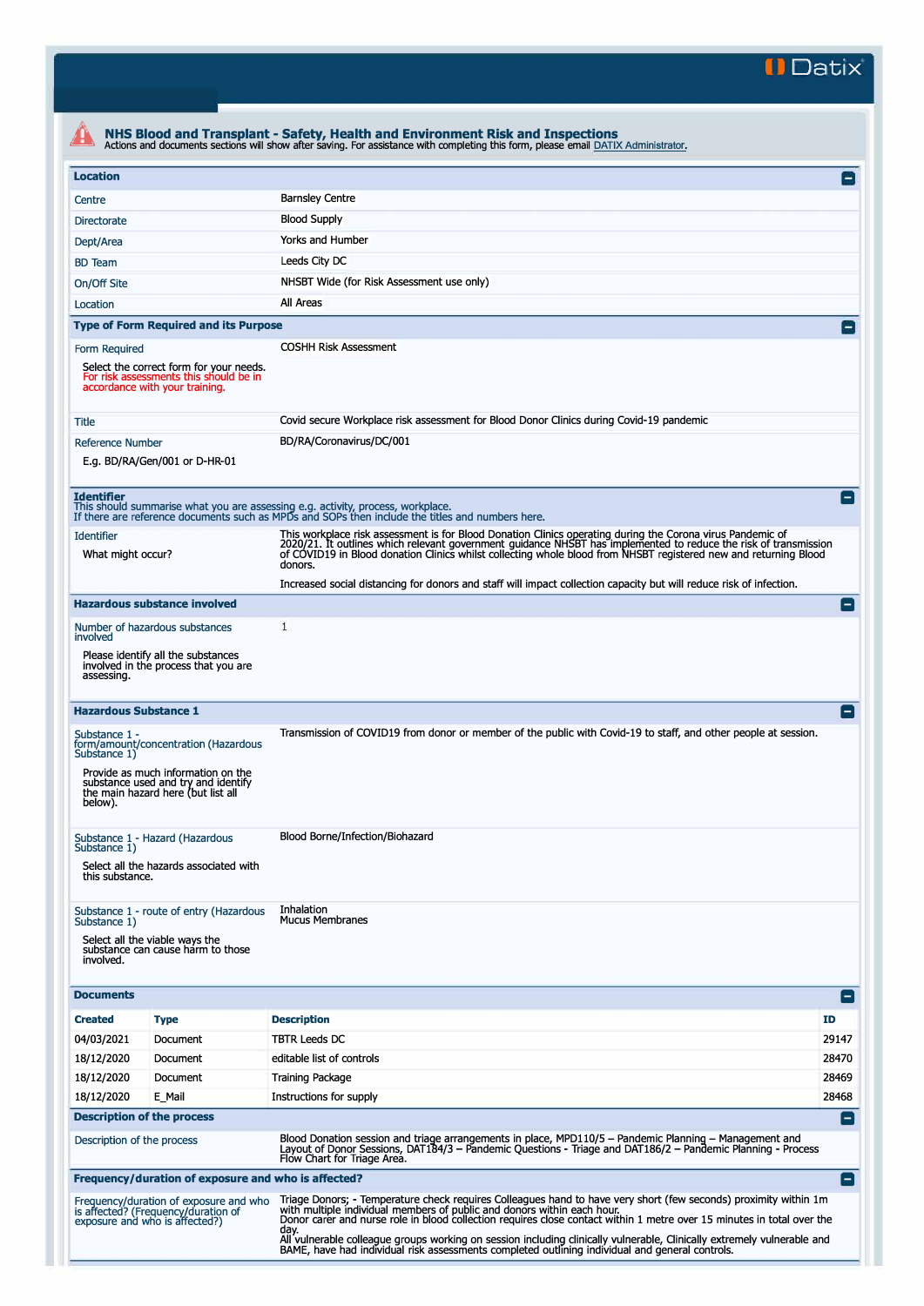**II Datix"** 

|                                                                                                                                                                                                                                                                                                                                                                                                                                                                                                                                                                             |                                                                                                                     | NHS Blood and Transplant - Safety, Health and Environment Risk and Inspections<br>Actions and documents sections will show after saving. For assistance with completing this form, please email DATIX Administrator.                                                                                                                                          |                 |  |  |  |  |
|-----------------------------------------------------------------------------------------------------------------------------------------------------------------------------------------------------------------------------------------------------------------------------------------------------------------------------------------------------------------------------------------------------------------------------------------------------------------------------------------------------------------------------------------------------------------------------|---------------------------------------------------------------------------------------------------------------------|---------------------------------------------------------------------------------------------------------------------------------------------------------------------------------------------------------------------------------------------------------------------------------------------------------------------------------------------------------------|-----------------|--|--|--|--|
| <b>Location</b>                                                                                                                                                                                                                                                                                                                                                                                                                                                                                                                                                             |                                                                                                                     |                                                                                                                                                                                                                                                                                                                                                               | $\vert - \vert$ |  |  |  |  |
| Centre                                                                                                                                                                                                                                                                                                                                                                                                                                                                                                                                                                      |                                                                                                                     | <b>Barnsley Centre</b>                                                                                                                                                                                                                                                                                                                                        |                 |  |  |  |  |
| <b>Directorate</b>                                                                                                                                                                                                                                                                                                                                                                                                                                                                                                                                                          |                                                                                                                     | <b>Blood Supply</b>                                                                                                                                                                                                                                                                                                                                           |                 |  |  |  |  |
| Dept/Area                                                                                                                                                                                                                                                                                                                                                                                                                                                                                                                                                                   |                                                                                                                     | Yorks and Humber                                                                                                                                                                                                                                                                                                                                              |                 |  |  |  |  |
| <b>BD</b> Team                                                                                                                                                                                                                                                                                                                                                                                                                                                                                                                                                              |                                                                                                                     | Leeds City DC                                                                                                                                                                                                                                                                                                                                                 |                 |  |  |  |  |
| On/Off Site                                                                                                                                                                                                                                                                                                                                                                                                                                                                                                                                                                 |                                                                                                                     | NHSBT Wide (for Risk Assessment use only)                                                                                                                                                                                                                                                                                                                     |                 |  |  |  |  |
| Location                                                                                                                                                                                                                                                                                                                                                                                                                                                                                                                                                                    |                                                                                                                     | All Areas                                                                                                                                                                                                                                                                                                                                                     |                 |  |  |  |  |
|                                                                                                                                                                                                                                                                                                                                                                                                                                                                                                                                                                             | <b>Type of Form Required and its Purpose</b>                                                                        |                                                                                                                                                                                                                                                                                                                                                               | $\overline{ }$  |  |  |  |  |
| Form Required                                                                                                                                                                                                                                                                                                                                                                                                                                                                                                                                                               |                                                                                                                     | <b>COSHH Risk Assessment</b>                                                                                                                                                                                                                                                                                                                                  |                 |  |  |  |  |
|                                                                                                                                                                                                                                                                                                                                                                                                                                                                                                                                                                             | Select the correct form for your needs.<br>For risk assessments this should be in<br>accordance with your training. |                                                                                                                                                                                                                                                                                                                                                               |                 |  |  |  |  |
| Title                                                                                                                                                                                                                                                                                                                                                                                                                                                                                                                                                                       |                                                                                                                     | Covid secure Workplace risk assessment for Blood Donor Clinics during Covid-19 pandemic                                                                                                                                                                                                                                                                       |                 |  |  |  |  |
| <b>Reference Number</b>                                                                                                                                                                                                                                                                                                                                                                                                                                                                                                                                                     | E.a. BD/RA/Gen/001 or D-HR-01                                                                                       | BD/RA/Coronavirus/DC/001                                                                                                                                                                                                                                                                                                                                      |                 |  |  |  |  |
| <b>Identifier</b>                                                                                                                                                                                                                                                                                                                                                                                                                                                                                                                                                           |                                                                                                                     | This should summarise what you are assessing e.g. activity, process, workplace.<br>If there are reference documents such as MPDs and SOPs then include the titles and numbers here.                                                                                                                                                                           | $\blacksquare$  |  |  |  |  |
| <b>Identifier</b><br>What might occur?                                                                                                                                                                                                                                                                                                                                                                                                                                                                                                                                      |                                                                                                                     | This workplace risk assessment is for Blood Donation Clinics operating during the Corona virus Pandemic of<br>2020/21. It outlines which relevant government guidance NHSBT has implemented to reduce the risk of transmission<br>of COVID19 in Blood donation Clinics whilst collecting whole blood from NHSBT registered new and returning Blood<br>donors. |                 |  |  |  |  |
|                                                                                                                                                                                                                                                                                                                                                                                                                                                                                                                                                                             |                                                                                                                     | Increased social distancing for donors and staff will impact collection capacity but will reduce risk of infection.                                                                                                                                                                                                                                           |                 |  |  |  |  |
| <b>Hazardous substance involved</b>                                                                                                                                                                                                                                                                                                                                                                                                                                                                                                                                         |                                                                                                                     | 1                                                                                                                                                                                                                                                                                                                                                             | $\vert - \vert$ |  |  |  |  |
| Number of hazardous substances<br>involved                                                                                                                                                                                                                                                                                                                                                                                                                                                                                                                                  |                                                                                                                     |                                                                                                                                                                                                                                                                                                                                                               |                 |  |  |  |  |
| assessing.                                                                                                                                                                                                                                                                                                                                                                                                                                                                                                                                                                  | Please identify all the substances<br>involved in the process that you are                                          |                                                                                                                                                                                                                                                                                                                                                               |                 |  |  |  |  |
| <b>Hazardous Substance 1</b>                                                                                                                                                                                                                                                                                                                                                                                                                                                                                                                                                |                                                                                                                     |                                                                                                                                                                                                                                                                                                                                                               | -1              |  |  |  |  |
| Substance 1 -<br>form/amount/concentration (Hazardous<br>Substance 1)<br>Provide as much information on the<br>substance used and try and identify<br>the main hazard here (but list all<br>below).                                                                                                                                                                                                                                                                                                                                                                         |                                                                                                                     | Transmission of COVID19 from donor or member of the public with Covid-19 to staff, and other people at session.                                                                                                                                                                                                                                               |                 |  |  |  |  |
| Substance 1 - Hazard (Hazardous<br>Substance 1)<br>Select all the hazards associated with<br>this substance.                                                                                                                                                                                                                                                                                                                                                                                                                                                                |                                                                                                                     | Blood Borne/Infection/Biohazard                                                                                                                                                                                                                                                                                                                               |                 |  |  |  |  |
| Substance 1 - route of entry (Hazardous<br>Substance 1)<br>Select all the viable ways the<br>substance can cause harm to those<br>involved.                                                                                                                                                                                                                                                                                                                                                                                                                                 |                                                                                                                     | Inhalation<br><b>Mucus Membranes</b>                                                                                                                                                                                                                                                                                                                          |                 |  |  |  |  |
| <b>Documents</b>                                                                                                                                                                                                                                                                                                                                                                                                                                                                                                                                                            |                                                                                                                     |                                                                                                                                                                                                                                                                                                                                                               | E 1             |  |  |  |  |
| <b>Created</b>                                                                                                                                                                                                                                                                                                                                                                                                                                                                                                                                                              | <b>Type</b>                                                                                                         | <b>Description</b>                                                                                                                                                                                                                                                                                                                                            | ID              |  |  |  |  |
| 04/03/2021                                                                                                                                                                                                                                                                                                                                                                                                                                                                                                                                                                  | Document                                                                                                            | <b>TBTR Leeds DC</b>                                                                                                                                                                                                                                                                                                                                          | 29147           |  |  |  |  |
| 18/12/2020                                                                                                                                                                                                                                                                                                                                                                                                                                                                                                                                                                  | Document                                                                                                            | editable list of controls                                                                                                                                                                                                                                                                                                                                     | 28470           |  |  |  |  |
| 18/12/2020                                                                                                                                                                                                                                                                                                                                                                                                                                                                                                                                                                  | Document                                                                                                            | <b>Training Package</b>                                                                                                                                                                                                                                                                                                                                       | 28469           |  |  |  |  |
| 18/12/2020                                                                                                                                                                                                                                                                                                                                                                                                                                                                                                                                                                  | E Mail                                                                                                              | Instructions for supply                                                                                                                                                                                                                                                                                                                                       | 28468           |  |  |  |  |
| <b>Description of the process</b><br>E                                                                                                                                                                                                                                                                                                                                                                                                                                                                                                                                      |                                                                                                                     |                                                                                                                                                                                                                                                                                                                                                               |                 |  |  |  |  |
| Blood Donation session and triage arrangements in place, MPD110/5 - Pandemic Planning - Management and<br>Description of the process<br>Layout of Donor Sessions, DAT184/3 – Pandemic Questions - Triage and DAT186/2 – Pandemic Planning - Process<br>Flow Chart for Triage Area.                                                                                                                                                                                                                                                                                          |                                                                                                                     |                                                                                                                                                                                                                                                                                                                                                               |                 |  |  |  |  |
|                                                                                                                                                                                                                                                                                                                                                                                                                                                                                                                                                                             | Frequency/duration of exposure and who is affected?                                                                 |                                                                                                                                                                                                                                                                                                                                                               | $\mathsf{I}$    |  |  |  |  |
| Triage Donors; - Temperature check requires Colleagues hand to have very short (few seconds) proximity within 1m<br>Frequency/duration of exposure and who<br>with multiple individual members of public and donors within each hour.<br>is affected? (Frequency/duration of<br>Donor carer and nurse role in blood collection requires close contact within 1 metre over 15 minutes in total over the<br>exposure and who is affected?)<br>day.<br>All vulnerable colleague groups working on session including clinically vulnerable, Clinically extremely vulnerable and |                                                                                                                     |                                                                                                                                                                                                                                                                                                                                                               |                 |  |  |  |  |
|                                                                                                                                                                                                                                                                                                                                                                                                                                                                                                                                                                             |                                                                                                                     | BAME, have had individual risk assessments completed outlining individual and general controls.                                                                                                                                                                                                                                                               |                 |  |  |  |  |